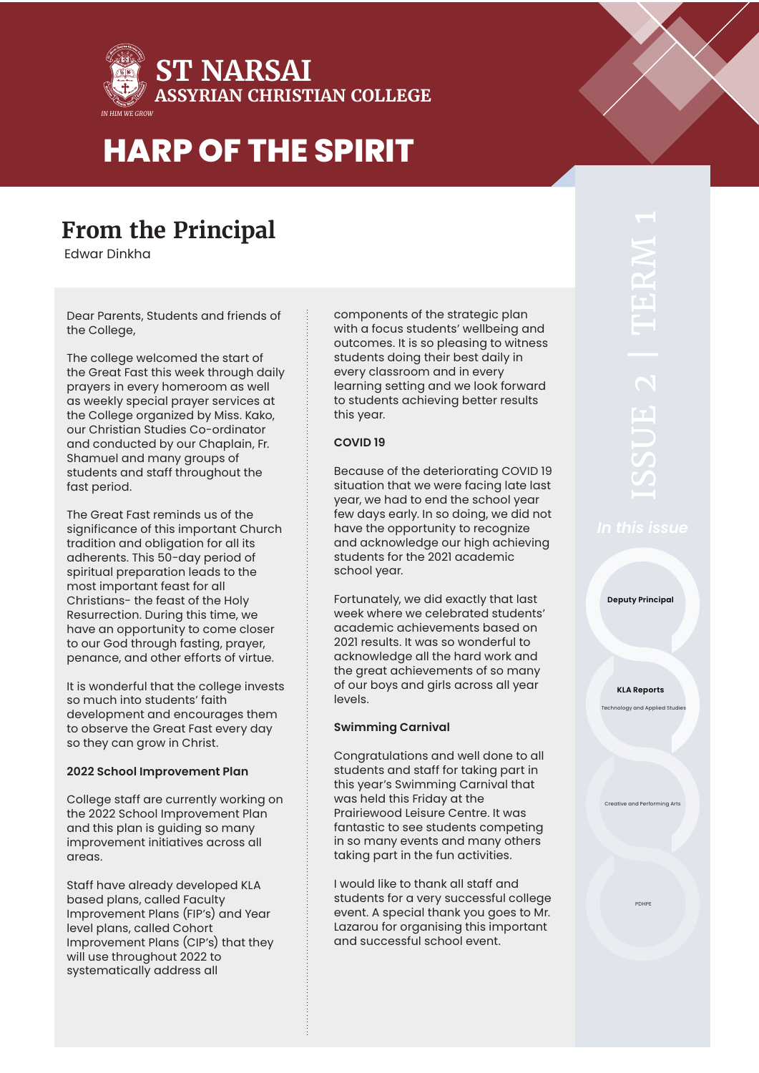

### **From the Principal**

Edwar Dinkha

Dear Parents, Students and friends of the College,

The college welcomed the start of the Great Fast this week through daily prayers in every homeroom as well as weekly special prayer services at the College organized by Miss. Kako, our Christian Studies Co-ordinator and conducted by our Chaplain, Fr. Shamuel and many groups of students and staff throughout the fast period.

The Great Fast reminds us of the significance of this important Church tradition and obligation for all its adherents. This 50-day period of spiritual preparation leads to the most important feast for all Christians- the feast of the Holy Resurrection. During this time, we have an opportunity to come closer to our God through fasting, prayer, penance, and other efforts of virtue.

It is wonderful that the college invests so much into students' faith development and encourages them to observe the Great Fast every day so they can grow in Christ.

### **2022 School Improvement Plan**

College staff are currently working on the 2022 School Improvement Plan and this plan is guiding so many improvement initiatives across all areas.

Staff have already developed KLA based plans, called Faculty Improvement Plans (FIP's) and Year level plans, called Cohort Improvement Plans (CIP's) that they will use throughout 2022 to systematically address all

components of the strategic plan with a focus students' wellbeing and outcomes. It is so pleasing to witness students doing their best daily in every classroom and in every learning setting and we look forward to students achieving better results this year.

### **COVID 19**

Because of the deteriorating COVID 19 situation that we were facing late last year, we had to end the school year few days early. In so doing, we did not have the opportunity to recognize and acknowledge our high achieving students for the 2021 academic school year.

Fortunately, we did exactly that last week where we celebrated students' academic achievements based on 2021 results. It was so wonderful to acknowledge all the hard work and the great achievements of so many of our boys and girls across all year levels.

### **Swimming Carnival**

Congratulations and well done to all students and staff for taking part in this year's Swimming Carnival that was held this Friday at the Prairiewood Leisure Centre. It was fantastic to see students competing in so many events and many others taking part in the fun activities.

I would like to thank all staff and students for a very successful college event. A special thank you goes to Mr. Lazarou for organising this important and successful school event.

**Deputy Principal**

**KLA Reports** .<br>Text and App

e and Perfor

PDHPE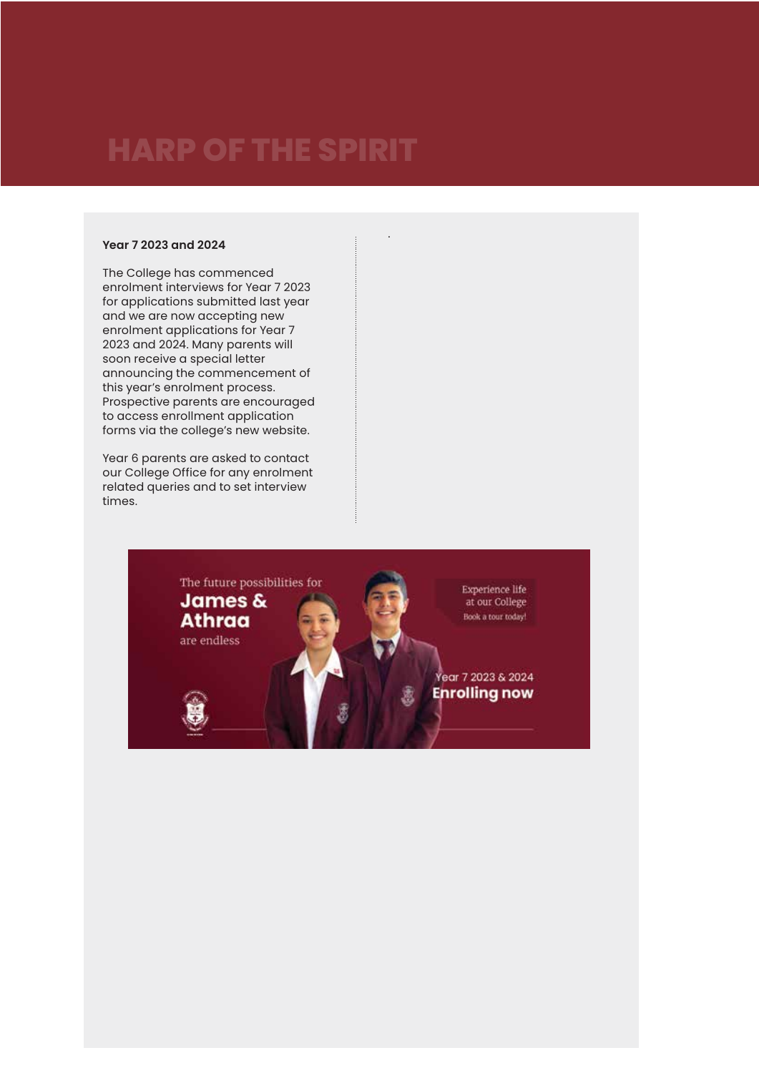### **Year 7 2023 and 2024**

The College has commenced enrolment interviews for Year 7 2023 for applications submitted last year and we are now accepting new enrolment applications for Year 7 2023 and 2024. Many parents will soon receive a special letter announcing the commencement of this year's enrolment process. Prospective parents are encouraged to access enrollment application forms via the college's new website.

Year 6 parents are asked to contact our College Office for any enrolment related queries and to set interview times.



.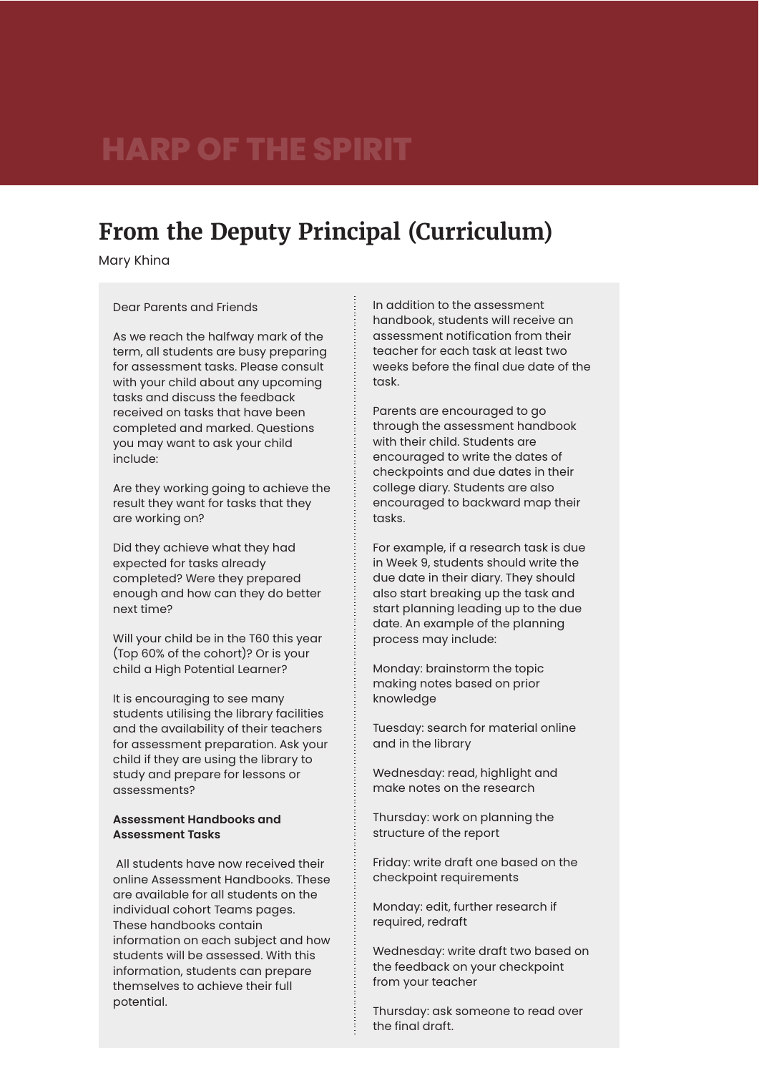### **From the Deputy Principal (Curriculum)**

Mary Khina

#### Dear Parents and Friends

As we reach the halfway mark of the term, all students are busy preparing for assessment tasks. Please consult with your child about any upcoming tasks and discuss the feedback received on tasks that have been completed and marked. Questions you may want to ask your child include:

Are they working going to achieve the result they want for tasks that they are working on?

Did they achieve what they had expected for tasks already completed? Were they prepared enough and how can they do better next time?

Will your child be in the T60 this year (Top 60% of the cohort)? Or is your child a High Potential Learner?

It is encouraging to see many students utilising the library facilities and the availability of their teachers for assessment preparation. Ask your child if they are using the library to study and prepare for lessons or assessments?

### **Assessment Handbooks and Assessment Tasks**

 All students have now received their online Assessment Handbooks. These are available for all students on the individual cohort Teams pages. These handbooks contain information on each subject and how students will be assessed. With this information, students can prepare themselves to achieve their full potential.

In addition to the assessment handbook, students will receive an assessment notification from their teacher for each task at least two weeks before the final due date of the task

Parents are encouraged to go through the assessment handbook with their child. Students are encouraged to write the dates of checkpoints and due dates in their college diary. Students are also encouraged to backward map their tasks.

For example, if a research task is due in Week 9, students should write the due date in their diary. They should also start breaking up the task and start planning leading up to the due date. An example of the planning process may include:

Monday: brainstorm the topic making notes based on prior knowledge

Tuesday: search for material online and in the library

Wednesday: read, highlight and make notes on the research

Thursday: work on planning the structure of the report

Friday: write draft one based on the checkpoint requirements

Monday: edit, further research if required, redraft

Wednesday: write draft two based on the feedback on your checkpoint from your teacher

Thursday: ask someone to read over the final draft.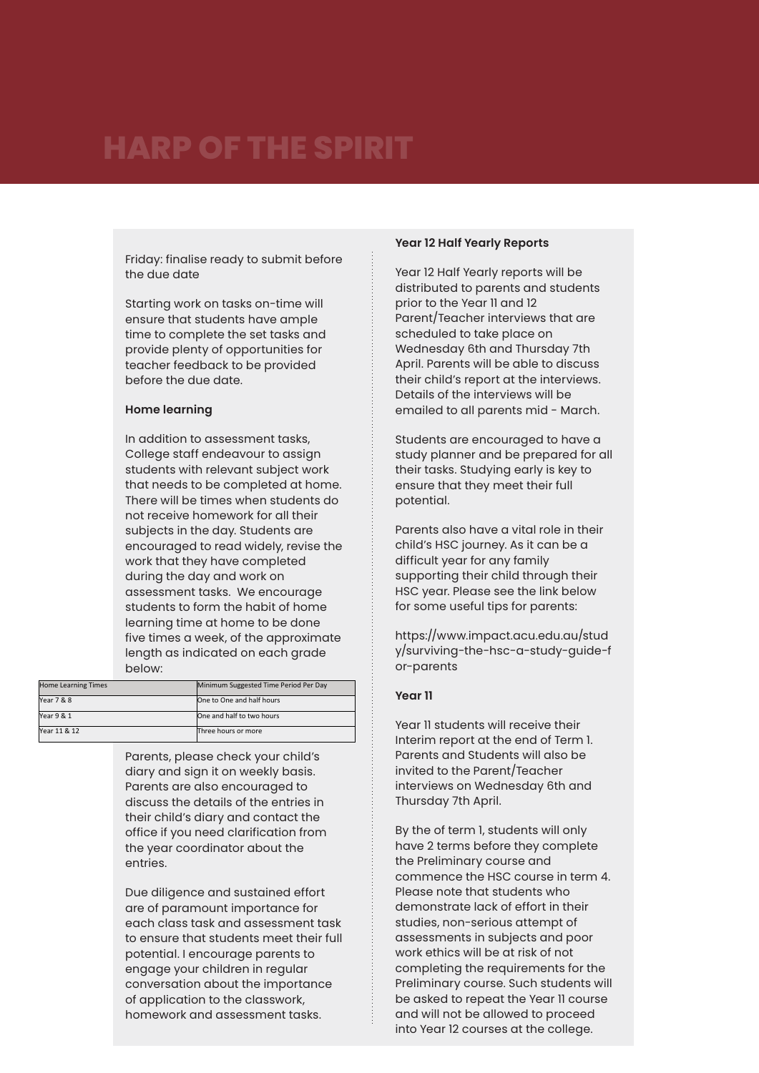Friday: finalise ready to submit before the due date

Starting work on tasks on-time will ensure that students have ample time to complete the set tasks and provide plenty of opportunities for teacher feedback to be provided before the due date.

#### **Home learning**

In addition to assessment tasks, College staff endeavour to assign students with relevant subject work that needs to be completed at home. There will be times when students do not receive homework for all their subjects in the day. Students are encouraged to read widely, revise the work that they have completed during the day and work on assessment tasks. We encourage students to form the habit of home learning time at home to be done five times a week, of the approximate length as indicated on each grade below:

| <b>Home Learning Times</b> | Minimum Suggested Time Period Per Day |
|----------------------------|---------------------------------------|
| Year 7 & 8                 | One to One and half hours             |
| Year 9 & 1                 | One and half to two hours             |
| Year 11 & 12               | Three hours or more                   |

Parents, please check your child's diary and sign it on weekly basis. Parents are also encouraged to discuss the details of the entries in their child's diary and contact the office if you need clarification from the year coordinator about the entries.

Due diligence and sustained effort are of paramount importance for each class task and assessment task to ensure that students meet their full potential. I encourage parents to engage your children in regular conversation about the importance of application to the classwork, homework and assessment tasks.

#### **Year 12 Half Yearly Reports**

Year 12 Half Yearly reports will be distributed to parents and students prior to the Year 11 and 12 Parent/Teacher interviews that are scheduled to take place on Wednesday 6th and Thursday 7th April. Parents will be able to discuss their child's report at the interviews. Details of the interviews will be emailed to all parents mid - March.

Students are encouraged to have a study planner and be prepared for all their tasks. Studying early is key to ensure that they meet their full potential.

Parents also have a vital role in their child's HSC journey. As it can be a difficult year for any family supporting their child through their HSC year. Please see the link below for some useful tips for parents:

https://www.impact.acu.edu.au/stud y/surviving-the-hsc-a-study-guide-f or-parents

#### **Year 11**

Year 11 students will receive their Interim report at the end of Term 1. Parents and Students will also be invited to the Parent/Teacher interviews on Wednesday 6th and Thursday 7th April.

By the of term 1, students will only have 2 terms before they complete the Preliminary course and commence the HSC course in term 4. Please note that students who demonstrate lack of effort in their studies, non-serious attempt of assessments in subjects and poor work ethics will be at risk of not completing the requirements for the Preliminary course. Such students will be asked to repeat the Year 11 course and will not be allowed to proceed into Year 12 courses at the college.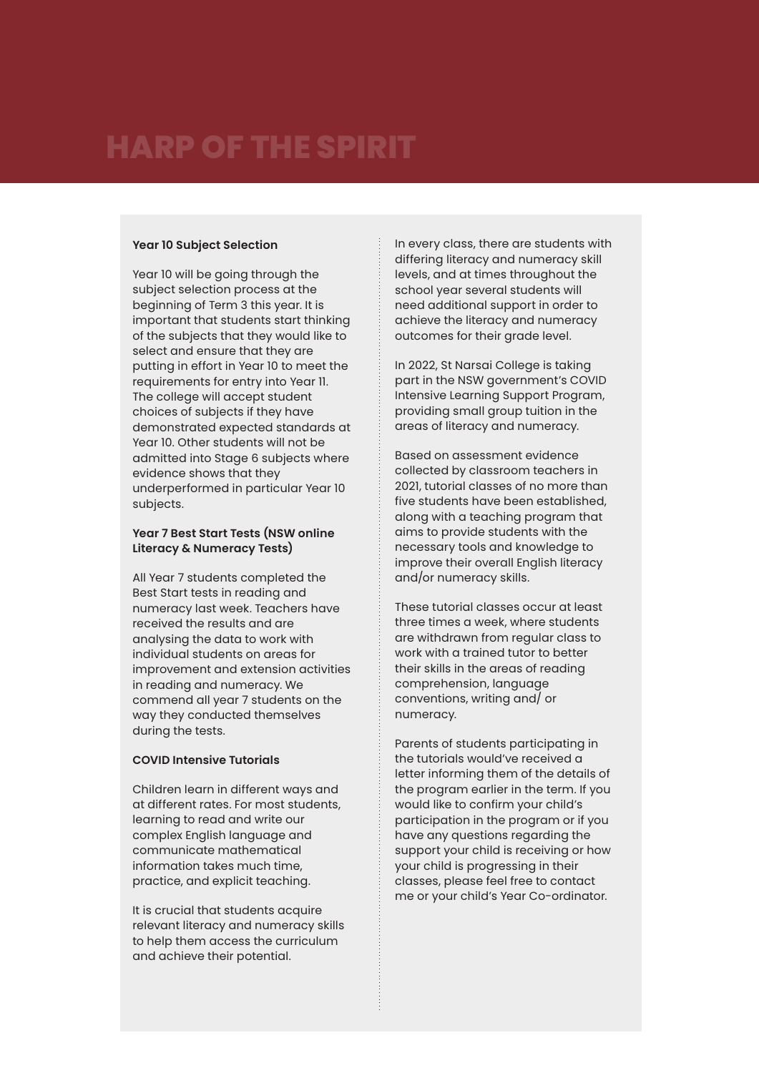### **Year 10 Subject Selection**

Year 10 will be going through the subject selection process at the beginning of Term 3 this year. It is important that students start thinking of the subjects that they would like to select and ensure that they are putting in effort in Year 10 to meet the requirements for entry into Year 11. The college will accept student choices of subjects if they have demonstrated expected standards at Year 10. Other students will not be admitted into Stage 6 subjects where evidence shows that they underperformed in particular Year 10 subjects.

### **Year 7 Best Start Tests (NSW online Literacy & Numeracy Tests)**

All Year 7 students completed the Best Start tests in reading and numeracy last week. Teachers have received the results and are analysing the data to work with individual students on areas for improvement and extension activities in reading and numeracy. We commend all year 7 students on the way they conducted themselves during the tests.

### **COVID Intensive Tutorials**

Children learn in different ways and at different rates. For most students, learning to read and write our complex English language and communicate mathematical information takes much time, practice, and explicit teaching.

It is crucial that students acquire relevant literacy and numeracy skills to help them access the curriculum and achieve their potential.

In every class, there are students with differing literacy and numeracy skill levels, and at times throughout the school year several students will need additional support in order to achieve the literacy and numeracy outcomes for their grade level.

In 2022, St Narsai College is taking part in the NSW government's COVID Intensive Learning Support Program, providing small group tuition in the areas of literacy and numeracy.

Based on assessment evidence collected by classroom teachers in 2021, tutorial classes of no more than five students have been established, along with a teaching program that aims to provide students with the necessary tools and knowledge to improve their overall English literacy and/or numeracy skills.

These tutorial classes occur at least three times a week, where students are withdrawn from regular class to work with a trained tutor to better their skills in the areas of reading comprehension, language conventions, writing and/ or numeracy.

Parents of students participating in the tutorials would've received a letter informing them of the details of the program earlier in the term. If you would like to confirm your child's participation in the program or if you have any questions regarding the support your child is receiving or how your child is progressing in their classes, please feel free to contact me or your child's Year Co-ordinator.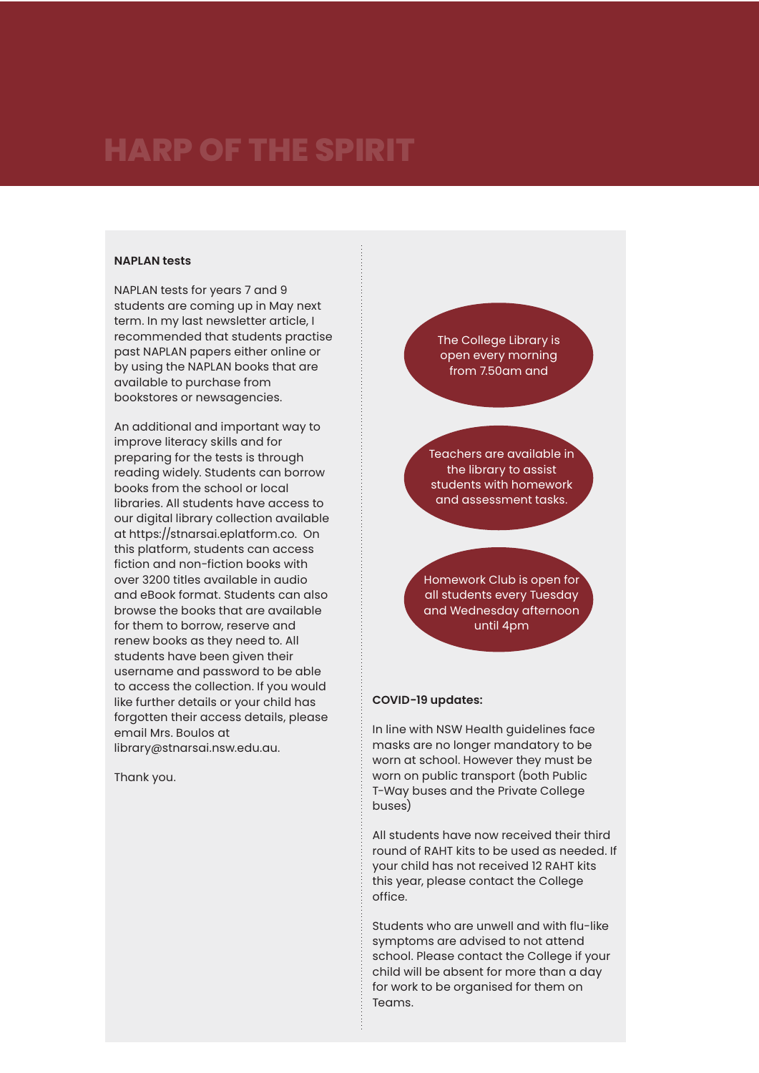#### **NAPLAN tests**

NAPLAN tests for years 7 and 9 students are coming up in May next term. In my last newsletter article, I recommended that students practise past NAPLAN papers either online or by using the NAPLAN books that are available to purchase from bookstores or newsagencies.

An additional and important way to improve literacy skills and for preparing for the tests is through reading widely. Students can borrow books from the school or local libraries. All students have access to our digital library collection available at https://stnarsai.eplatform.co. On this platform, students can access fiction and non-fiction books with over 3200 titles available in audio and eBook format. Students can also browse the books that are available for them to borrow, reserve and renew books as they need to. All students have been given their username and password to be able to access the collection. If you would like further details or your child has forgotten their access details, please email Mrs. Boulos at library@stnarsai.nsw.edu.au.

Thank you.

The College Library is open every morning from 7.50am and

Teachers are available in the library to assist students with homework and assessment tasks.

Homework Club is open for all students every Tuesday and Wednesday afternoon until 4pm

#### **COVID-19 updates:**

In line with NSW Health guidelines face masks are no longer mandatory to be worn at school. However they must be worn on public transport (both Public T-Way buses and the Private College buses)

All students have now received their third round of RAHT kits to be used as needed. If your child has not received 12 RAHT kits this year, please contact the College office.

Students who are unwell and with flu-like symptoms are advised to not attend school. Please contact the College if your child will be absent for more than a day for work to be organised for them on Teams.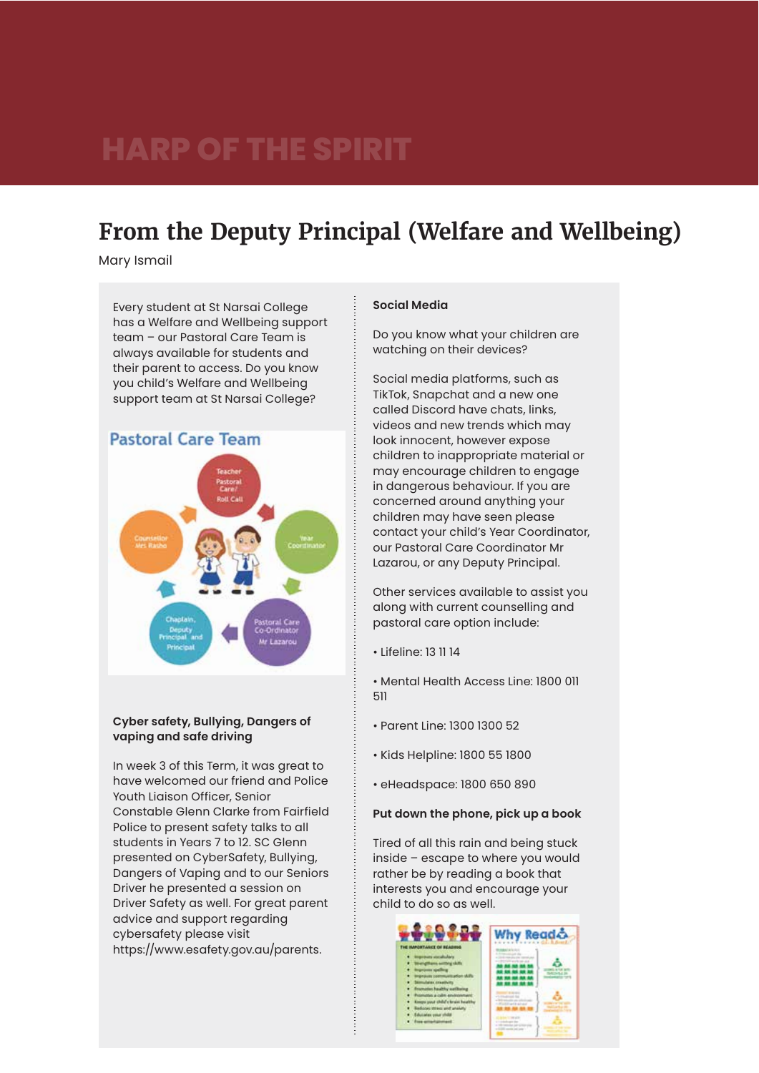### **From the Deputy Principal (Welfare and Wellbeing)**

Mary Ismail

Every student at St Narsai College has a Welfare and Wellbeing support team – our Pastoral Care Team is always available for students and their parent to access. Do you know you child's Welfare and Wellbeing support team at St Narsai College?



### **Cyber safety, Bullying, Dangers of vaping and safe driving**

In week 3 of this Term, it was great to have welcomed our friend and Police Youth Liaison Officer, Senior Constable Glenn Clarke from Fairfield Police to present safety talks to all students in Years 7 to 12. SC Glenn presented on CyberSafety, Bullying, Dangers of Vaping and to our Seniors Driver he presented a session on Driver Safety as well. For great parent advice and support regarding cybersafety please visit https://www.esafety.gov.au/parents.

### **Social Media**

Do you know what your children are watching on their devices?

Social media platforms, such as TikTok, Snapchat and a new one called Discord have chats, links, videos and new trends which may look innocent, however expose children to inappropriate material or may encourage children to engage in dangerous behaviour. If you are concerned around anything your children may have seen please contact your child's Year Coordinator, our Pastoral Care Coordinator Mr Lazarou, or any Deputy Principal.

Other services available to assist you along with current counselling and pastoral care option include:

• Lifeline: 13 11 14

• Mental Health Access Line: 1800 011 511

- Parent Line: 1300 1300 52
- Kids Helpline: 1800 55 1800
- eHeadspace: 1800 650 890

### **Put down the phone, pick up a book**

Tired of all this rain and being stuck inside – escape to where you would rather be by reading a book that interests you and encourage your child to do so as well.

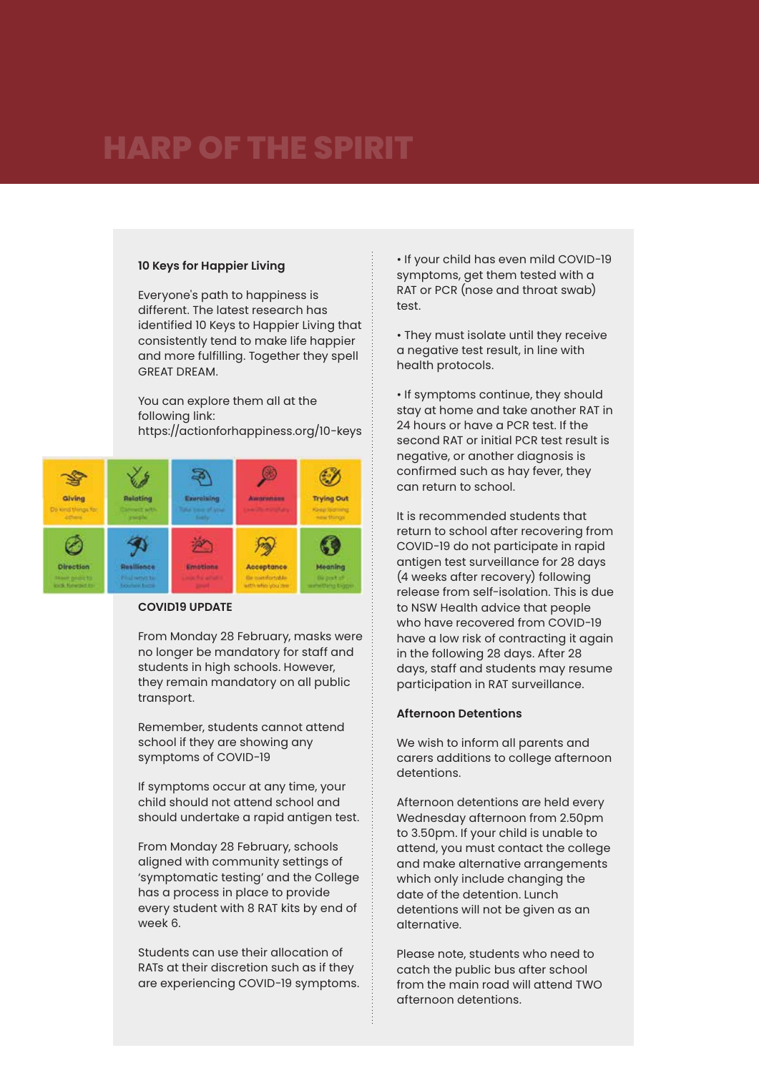### **10 Keys for Happier Living**

Everyone's path to happiness is different. The latest research has identified 10 Keys to Happier Living that consistently tend to make life happier and more fulfilling. Together they spell GREAT DREAM.

You can explore them all at the following link: https://actionforhappiness.org/10-keys



### **COVID19 UPDATE**

From Monday 28 February, masks were no longer be mandatory for staff and students in high schools. However, they remain mandatory on all public transport.

Remember, students cannot attend school if they are showing any symptoms of COVID-19

If symptoms occur at any time, your child should not attend school and should undertake a rapid antigen test.

From Monday 28 February, schools aligned with community settings of 'symptomatic testing' and the College has a process in place to provide every student with 8 RAT kits by end of week 6.

Students can use their allocation of RATs at their discretion such as if they are experiencing COVID-19 symptoms. • If your child has even mild COVID-19 symptoms, get them tested with a RAT or PCR (nose and throat swab) test.

• They must isolate until they receive a negative test result, in line with health protocols.

• If symptoms continue, they should stay at home and take another RAT in 24 hours or have a PCR test. If the second RAT or initial PCR test result is negative, or another diagnosis is confirmed such as hay fever, they can return to school.

It is recommended students that return to school after recovering from COVID-19 do not participate in rapid antigen test surveillance for 28 days (4 weeks after recovery) following release from self-isolation. This is due to NSW Health advice that people who have recovered from COVID-19 have a low risk of contracting it again in the following 28 days. After 28 days, staff and students may resume participation in RAT surveillance.

### **Afternoon Detentions**

We wish to inform all parents and carers additions to college afternoon detentions.

Afternoon detentions are held every Wednesday afternoon from 2.50pm to 3.50pm. If your child is unable to attend, you must contact the college and make alternative arrangements which only include changing the date of the detention. Lunch detentions will not be given as an alternative.

Please note, students who need to catch the public bus after school from the main road will attend TWO afternoon detentions.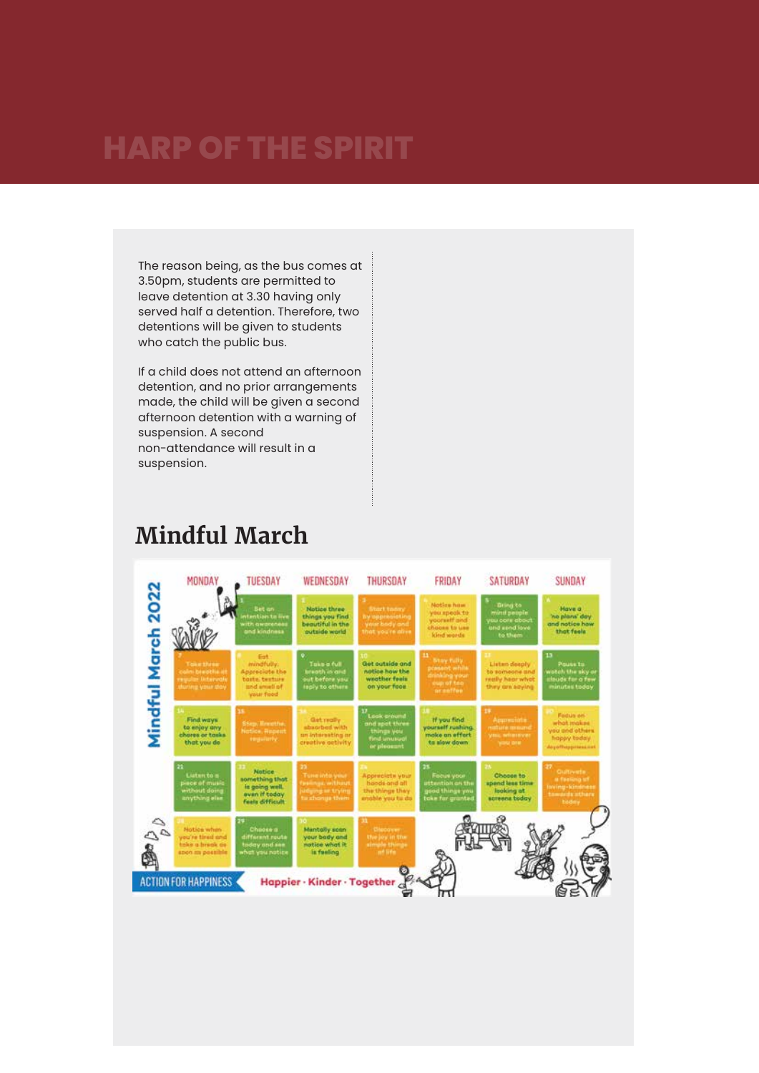The reason being, as the bus comes at 3.50pm, students are permitted to leave detention at 3.30 having only served half a detention. Therefore, two detentions will be given to students who catch the public bus.

If a child does not attend an afternoon detention, and no prior arrangements made, the child will be given a second afternoon detention with a warning of suspension. A second non-attendance will result in a suspension.

## **Mindful March**

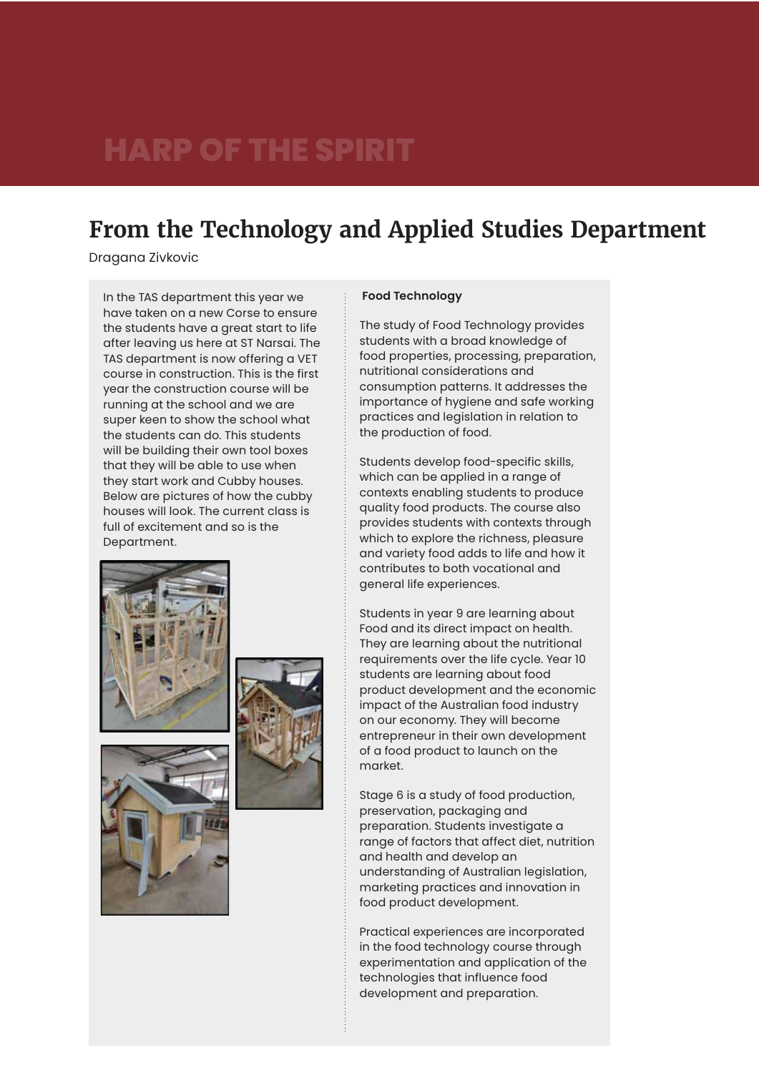### **From the Technology and Applied Studies Department**

Dragana Zivkovic

In the TAS department this year we have taken on a new Corse to ensure the students have a great start to life after leaving us here at ST Narsai. The TAS department is now offering a VET course in construction. This is the first year the construction course will be running at the school and we are super keen to show the school what the students can do. This students will be building their own tool boxes that they will be able to use when they start work and Cubby houses. Below are pictures of how the cubby houses will look. The current class is full of excitement and so is the Department.

![](_page_9_Picture_4.jpeg)

![](_page_9_Picture_5.jpeg)

![](_page_9_Picture_6.jpeg)

### The study of Food Technology provides

 **Food Technology** 

students with a broad knowledge of food properties, processing, preparation, nutritional considerations and consumption patterns. It addresses the importance of hygiene and safe working practices and legislation in relation to the production of food.

Students develop food-specific skills, which can be applied in a range of contexts enabling students to produce quality food products. The course also provides students with contexts through which to explore the richness, pleasure and variety food adds to life and how it contributes to both vocational and general life experiences.

Students in year 9 are learning about Food and its direct impact on health. They are learning about the nutritional requirements over the life cycle. Year 10 students are learning about food product development and the economic impact of the Australian food industry on our economy. They will become entrepreneur in their own development of a food product to launch on the market.

Stage 6 is a study of food production, preservation, packaging and preparation. Students investigate a range of factors that affect diet, nutrition and health and develop an understanding of Australian legislation, marketing practices and innovation in food product development.

Practical experiences are incorporated in the food technology course through experimentation and application of the technologies that influence food development and preparation.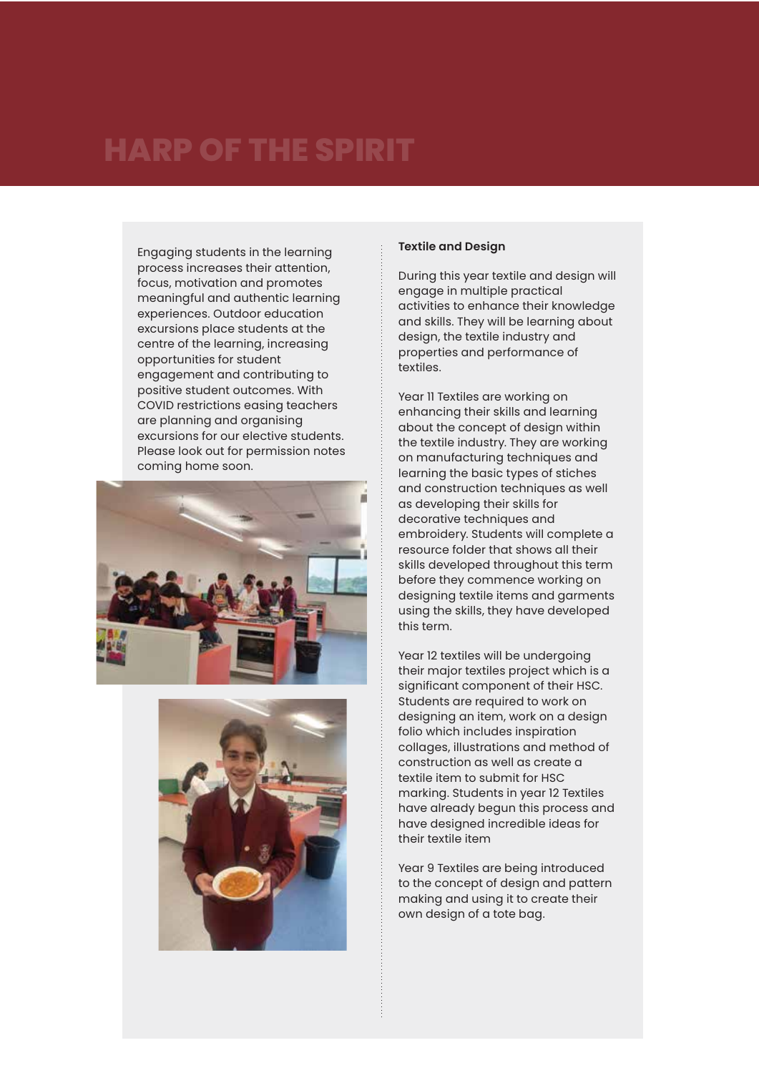Engaging students in the learning process increases their attention, focus, motivation and promotes meaningful and authentic learning experiences. Outdoor education excursions place students at the centre of the learning, increasing opportunities for student engagement and contributing to positive student outcomes. With COVID restrictions easing teachers are planning and organising excursions for our elective students. Please look out for permission notes coming home soon.

![](_page_10_Picture_2.jpeg)

![](_page_10_Picture_3.jpeg)

### **Textile and Design**

During this year textile and design will engage in multiple practical activities to enhance their knowledge and skills. They will be learning about design, the textile industry and properties and performance of textiles.

Year 11 Textiles are working on enhancing their skills and learning about the concept of design within the textile industry. They are working on manufacturing techniques and learning the basic types of stiches and construction techniques as well as developing their skills for decorative techniques and embroidery. Students will complete a resource folder that shows all their skills developed throughout this term before they commence working on designing textile items and garments using the skills, they have developed this term.

Year 12 textiles will be undergoing their major textiles project which is a significant component of their HSC. Students are required to work on designing an item, work on a design folio which includes inspiration collages, illustrations and method of construction as well as create a textile item to submit for HSC marking. Students in year 12 Textiles have already begun this process and have designed incredible ideas for their textile item

Year 9 Textiles are being introduced to the concept of design and pattern making and using it to create their own design of a tote bag.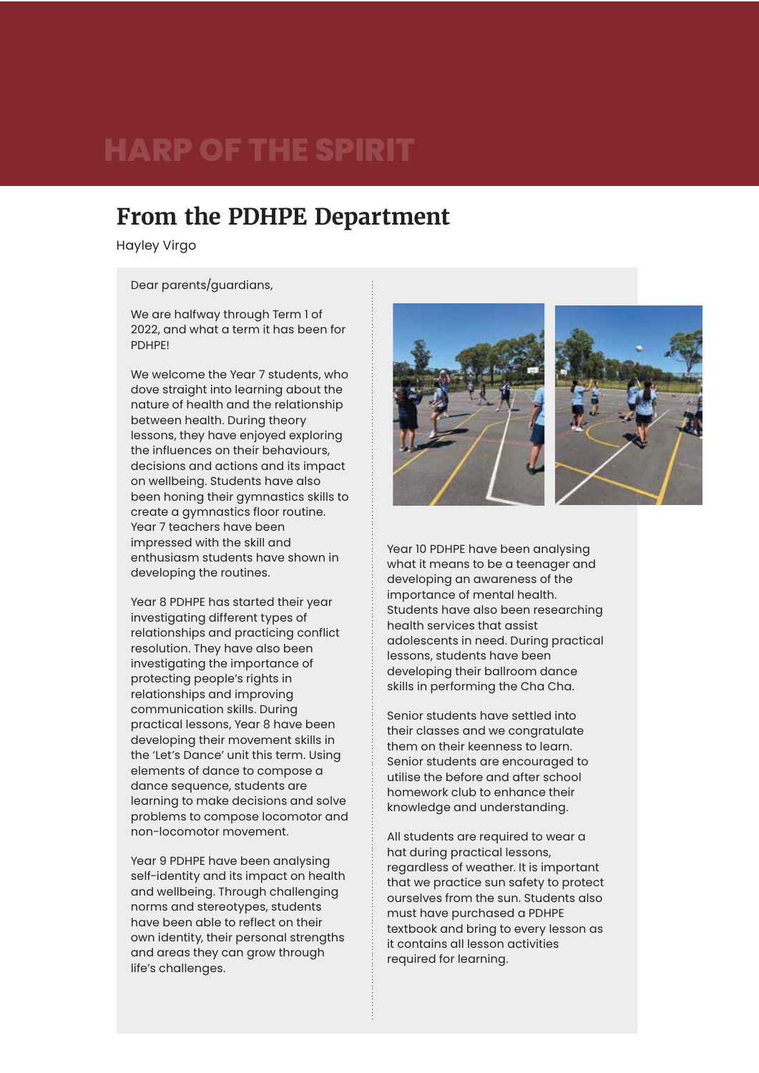### **From the PDHPE Department**

Hayley Virgo

Dear parents/guardians,

We are halfway through Term 1 of 2022, and what a term it has been for **PDHPFI** 

We welcome the Year 7 students, who dove straight into learning about the nature of health and the relationship between health. During theory lessons, they have enjoyed exploring the influences on their behaviours, decisions and actions and its impact on wellbeing. Students have also been honing their gymnastics skills to create a gymnastics floor routine. Year 7 teachers have been impressed with the skill and enthusiasm students have shown in developing the routines.

Year 8 PDHPE has started their year investigating different types of relationships and practicing conflict resolution. They have also been investigating the importance of protecting people's rights in relationships and improving communication skills. During practical lessons, Year 8 have been developing their movement skills in the 'Let's Dance' unit this term. Using elements of dance to compose a dance sequence, students are learning to make decisions and solve problems to compose locomotor and non-locomotor movement.

Year 9 PDHPE have been analysing self-identity and its impact on health and wellbeing. Through challenging norms and stereotypes, students have been able to reflect on their own identity, their personal strengths and areas they can grow through life's challenges.

![](_page_11_Picture_8.jpeg)

Year 10 PDHPE have been analysing what it means to be a teenager and developing an awareness of the importance of mental health. Students have also been researching health services that assist adolescents in need. During practical lessons, students have been developing their ballroom dance skills in performing the Cha Cha.

Senior students have settled into their classes and we congratulate them on their keenness to learn. Senior students are encouraged to utilise the before and after school homework club to enhance their knowledge and understanding.

All students are required to wear a hat during practical lessons, regardless of weather. It is important that we practice sun safety to protect ourselves from the sun. Students also must have purchased a PDHPE textbook and bring to every lesson as it contains all lesson activities required for learning.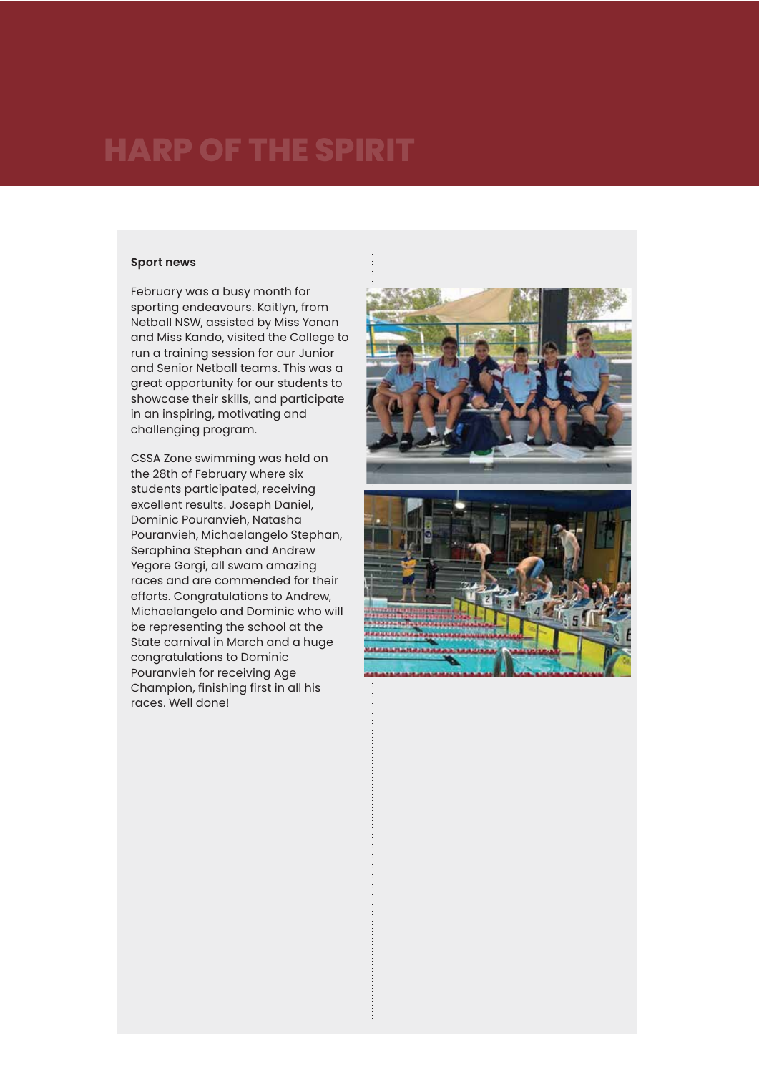#### **Sport news**

February was a busy month for sporting endeavours. Kaitlyn, from Netball NSW, assisted by Miss Yonan and Miss Kando, visited the College to run a training session for our Junior and Senior Netball teams. This was a great opportunity for our students to showcase their skills, and participate in an inspiring, motivating and challenging program.

CSSA Zone swimming was held on the 28th of February where six students participated, receiving excellent results. Joseph Daniel, Dominic Pouranvieh, Natasha Pouranvieh, Michaelangelo Stephan, Seraphina Stephan and Andrew Yegore Gorgi, all swam amazing races and are commended for their efforts. Congratulations to Andrew, Michaelangelo and Dominic who will be representing the school at the State carnival in March and a huge congratulations to Dominic Pouranvieh for receiving Age Champion, finishing first in all his races. Well done!

![](_page_12_Picture_4.jpeg)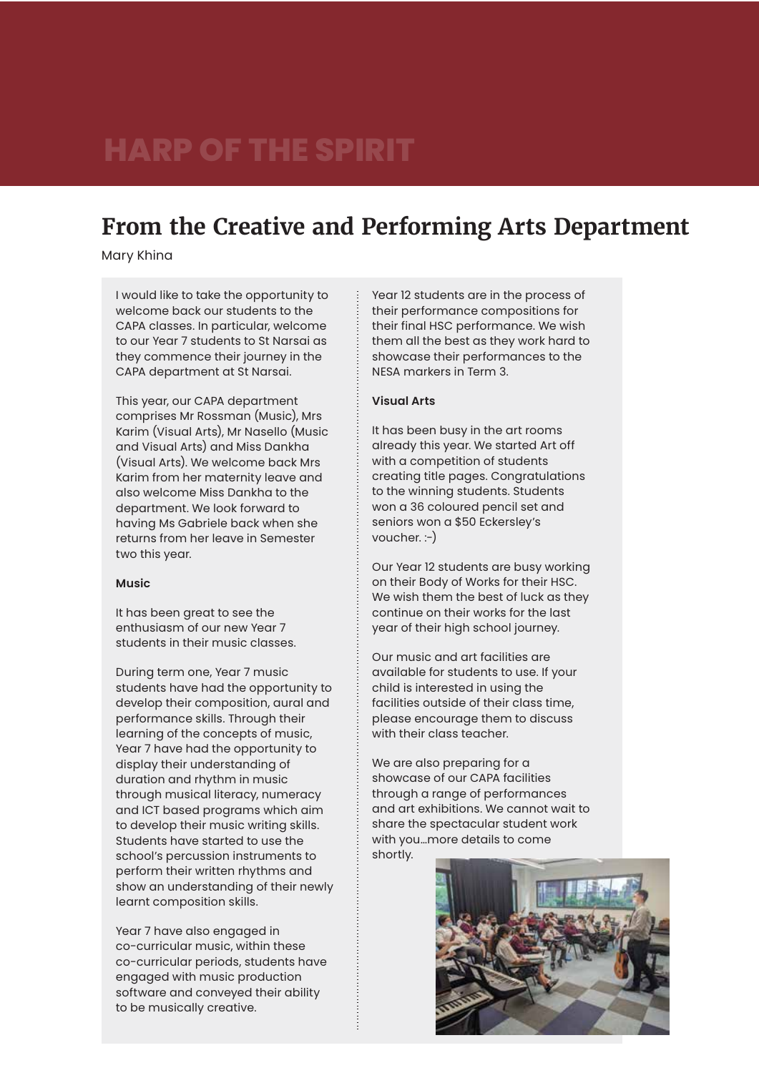### **From the Creative and Performing Arts Department**

Mary Khina

I would like to take the opportunity to welcome back our students to the CAPA classes. In particular, welcome to our Year 7 students to St Narsai as they commence their journey in the CAPA department at St Narsai.

This year, our CAPA department comprises Mr Rossman (Music), Mrs Karim (Visual Arts), Mr Nasello (Music and Visual Arts) and Miss Dankha (Visual Arts). We welcome back Mrs Karim from her maternity leave and also welcome Miss Dankha to the department. We look forward to having Ms Gabriele back when she returns from her leave in Semester two this year.

#### **Music**

It has been great to see the enthusiasm of our new Year 7 students in their music classes.

During term one, Year 7 music students have had the opportunity to develop their composition, aural and performance skills. Through their learning of the concepts of music, Year 7 have had the opportunity to display their understanding of duration and rhythm in music through musical literacy, numeracy and ICT based programs which aim to develop their music writing skills. Students have started to use the school's percussion instruments to perform their written rhythms and show an understanding of their newly learnt composition skills.

Year 7 have also engaged in co-curricular music, within these co-curricular periods, students have engaged with music production software and conveyed their ability to be musically creative.

Year 12 students are in the process of their performance compositions for their final HSC performance. We wish them all the best as they work hard to showcase their performances to the NESA markers in Term 3.

#### **Visual Arts**

It has been busy in the art rooms already this year. We started Art off with a competition of students creating title pages. Congratulations to the winning students. Students won a 36 coloured pencil set and seniors won a \$50 Eckersley's voucher. :-)

Our Year 12 students are busy working on their Body of Works for their HSC. We wish them the best of luck as they continue on their works for the last year of their high school journey.

Our music and art facilities are available for students to use. If your child is interested in using the facilities outside of their class time, please encourage them to discuss with their class teacher.

We are also preparing for a showcase of our CAPA facilities through a range of performances and art exhibitions. We cannot wait to share the spectacular student work with you…more details to come shortly.

![](_page_13_Picture_15.jpeg)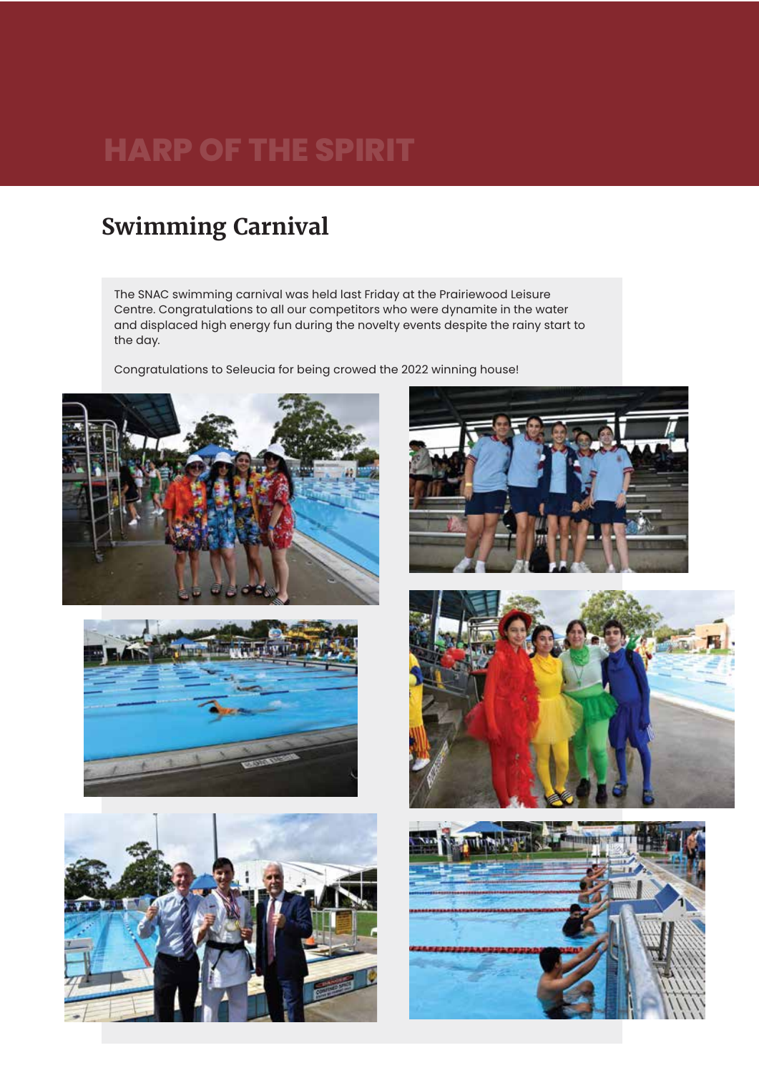### **Swimming Carnival**

The SNAC swimming carnival was held last Friday at the Prairiewood Leisure Centre. Congratulations to all our competitors who were dynamite in the water and displaced high energy fun during the novelty events despite the rainy start to the day.

Congratulations to Seleucia for being crowed the 2022 winning house!

![](_page_14_Picture_4.jpeg)

![](_page_14_Picture_5.jpeg)

![](_page_14_Picture_6.jpeg)

![](_page_14_Picture_7.jpeg)

![](_page_14_Picture_8.jpeg)

![](_page_14_Picture_9.jpeg)